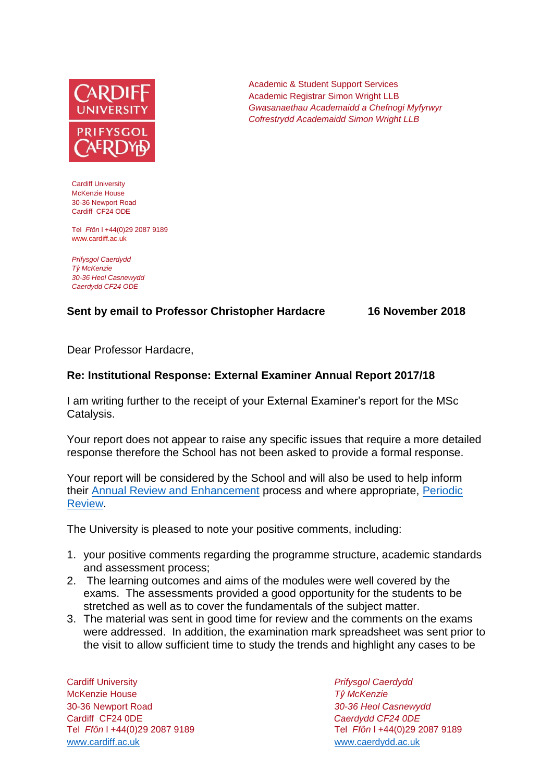

Cardiff University McKenzie House 30-36 Newport Road Cardiff CF24 ODE

Tel *Ffôn* l +44(0)29 2087 9189 www.cardiff.ac.uk

*Prifysgol Caerdydd Tŷ McKenzie 30-36 Heol Casnewydd Caerdydd CF24 ODE*

## **Sent by email to Professor Christopher Hardacre 16 November 2018**

Dear Professor Hardacre,

## **Re: Institutional Response: External Examiner Annual Report 2017/18**

I am writing further to the receipt of your External Examiner's report for the MSc Catalysis.

Your report does not appear to raise any specific issues that require a more detailed response therefore the School has not been asked to provide a formal response.

Your report will be considered by the School and will also be used to help inform their [Annual Review and Enhancement](https://learningcentral.cf.ac.uk/webapps/portal/execute/tabs/tabAction?tab_tab_group_id=_1_1) process and where appropriate, [Periodic](http://www.cardiff.ac.uk/public-information/quality-and-standards/monitoring-and-review/periodic-review)  [Review.](http://www.cardiff.ac.uk/public-information/quality-and-standards/monitoring-and-review/periodic-review)

The University is pleased to note your positive comments, including:

- 1. your positive comments regarding the programme structure, academic standards and assessment process;
- 2. The learning outcomes and aims of the modules were well covered by the exams. The assessments provided a good opportunity for the students to be stretched as well as to cover the fundamentals of the subject matter.
- 3. The material was sent in good time for review and the comments on the exams were addressed. In addition, the examination mark spreadsheet was sent prior to the visit to allow sufficient time to study the trends and highlight any cases to be

Cardiff University *Prifysgol Caerdydd* McKenzie House *Tŷ McKenzie* 30-36 Newport Road *30-36 Heol Casnewydd* Cardiff CF24 0DE *Caerdydd CF24 0DE* [www.cardiff.ac.uk](http://www.cardiff.ac.uk/) www.cardiff.ac.uk

Tel *Ffôn* l +44(0)29 2087 9189 Tel *Ffôn* l +44(0)29 2087 9189

Academic & Student Support Services Academic Registrar Simon Wright LLB *Gwasanaethau Academaidd a Chefnogi Myfyrwyr Cofrestrydd Academaidd Simon Wright LLB*